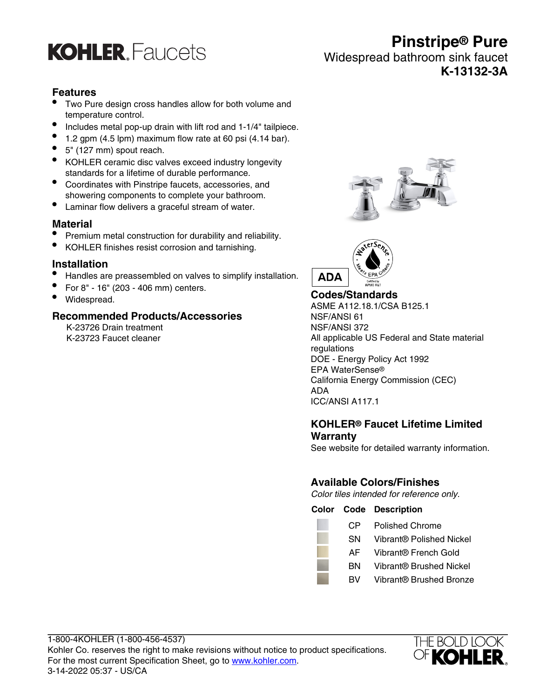

## **Pinstripe® Pure** Widespread bathroom sink faucet **K-13132-3A**

#### **Features**

- Two Pure design cross handles allow for both volume and temperature control.
- Includes metal pop-up drain with lift rod and 1-1/4" tailpiece.
- $\bullet$  1.2 gpm (4.5 lpm) maximum flow rate at 60 psi (4.14 bar).
- 5" (127 mm) spout reach.
- KOHLER ceramic disc valves exceed industry longevity standards for a lifetime of durable performance.
- Coordinates with Pinstripe faucets, accessories, and showering components to complete your bathroom.
- Laminar flow delivers a graceful stream of water.

#### **Material**

- Premium metal construction for durability and reliability.
- KOHLER finishes resist corrosion and tarnishing.

#### **Installation**

- Handles are preassembled on valves to simplify installation.
- For 8" 16" (203 406 mm) centers.
- Widespread.

#### **Recommended Products/Accessories**

K-23726 Drain treatment K-23723 Faucet cleaner





**Codes/Standards** ASME A112.18.1/CSA B125.1 NSF/ANSI 61 NSF/ANSI 372 All applicable US Federal and State material regulations DOE - Energy Policy Act 1992 EPA WaterSense® California Energy Commission (CEC) ADA ICC/ANSI A117.1

#### **KOHLER® Faucet Lifetime Limited Warranty**

See website for detailed warranty information.

#### **Available Colors/Finishes**

Color tiles intended for reference only.

**Color Code Description** CP Polished Chrome

- SN Vibrant® Polished Nickel
- AF Vibrant® French Gold
- BN Vibrant® Brushed Nickel
- BV Vibrant® Brushed Bronze